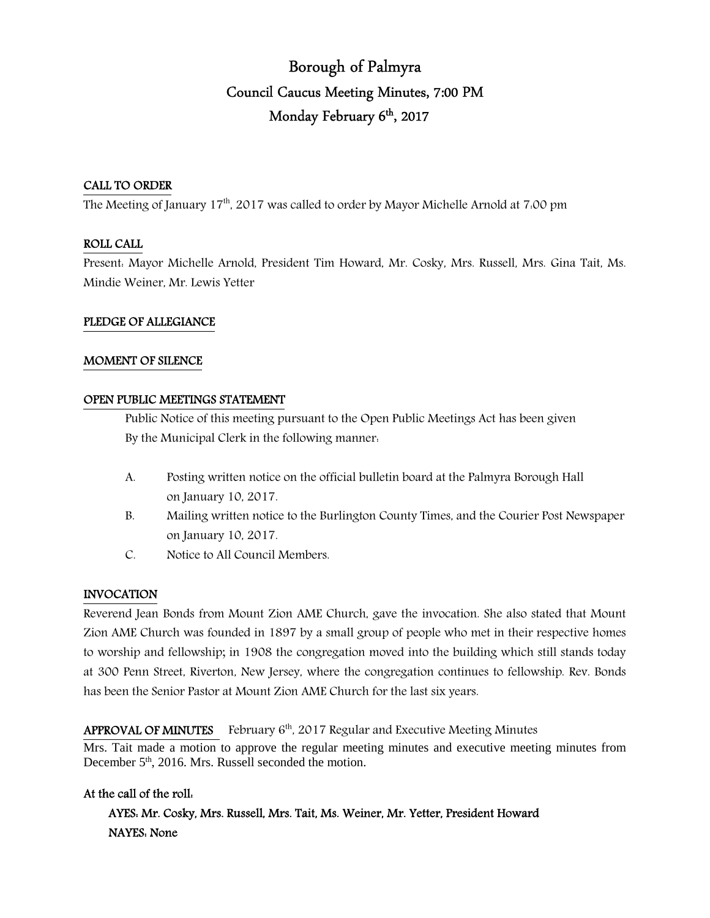# Borough of Palmyra Council Caucus Meeting Minutes, 7:00 PM Monday February 6<sup>th</sup>, 2017

## CALL TO ORDER

The Meeting of January  $17<sup>th</sup>$ , 2017 was called to order by Mayor Michelle Arnold at 7:00 pm

## ROLL CALL

Present: Mayor Michelle Arnold, President Tim Howard, Mr. Cosky, Mrs. Russell, Mrs. Gina Tait, Ms. Mindie Weiner, Mr. Lewis Yetter

## PLEDGE OF ALLEGIANCE

#### MOMENT OF SILENCE

#### OPEN PUBLIC MEETINGS STATEMENT

 Public Notice of this meeting pursuant to the Open Public Meetings Act has been given By the Municipal Clerk in the following manner:

- A. Posting written notice on the official bulletin board at the Palmyra Borough Hall on January 10, 2017.
- B. Mailing written notice to the Burlington County Times, and the Courier Post Newspaper on January 10, 2017.
- C. Notice to All Council Members.

## INVOCATION

Reverend Jean Bonds from Mount Zion AME Church, gave the invocation. She also stated that Mount Zion AME Church was founded in 1897 by a small group of people who met in their respective homes to worship and fellowship; in 1908 the congregation moved into the building which still stands today at 300 Penn Street, Riverton, New Jersey, where the congregation continues to fellowship. Rev. Bonds has been the Senior Pastor at Mount Zion AME Church for the last six years.

APPROVAL OF MINUTES February  $6<sup>th</sup>$ , 2017 Regular and Executive Meeting Minutes

Mrs. Tait made a motion to approve the regular meeting minutes and executive meeting minutes from December 5<sup>th</sup>, 2016. Mrs. Russell seconded the motion.

## At the call of the roll:

 AYES: Mr. Cosky, Mrs. Russell, Mrs. Tait, Ms. Weiner, Mr. Yetter, President Howard NAYES: None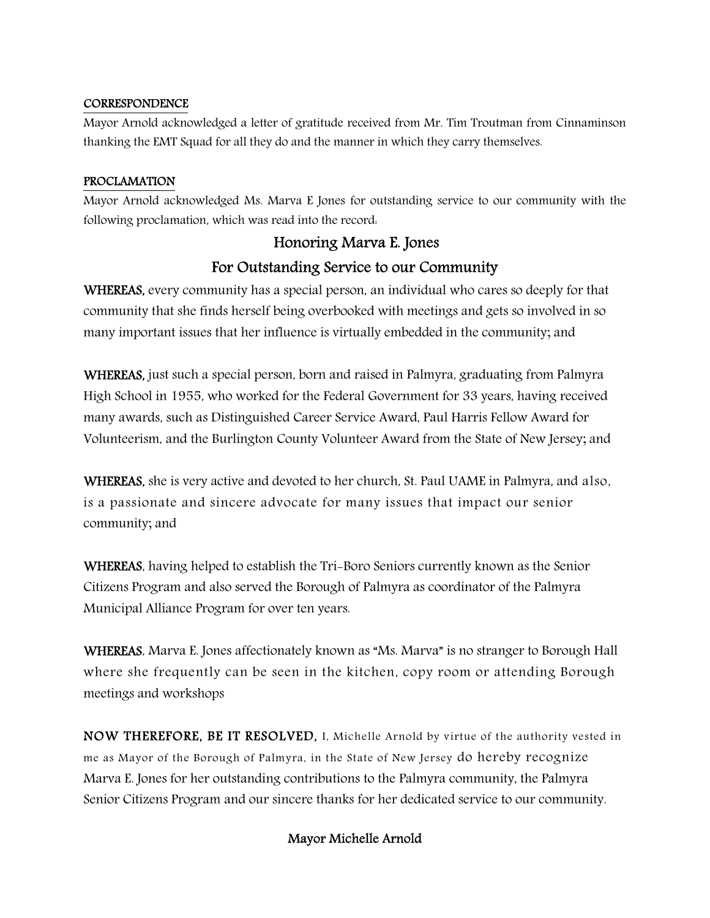## **CORRESPONDENCE**

Mayor Arnold acknowledged a letter of gratitude received from Mr. Tim Troutman from Cinnaminson thanking the EMT Squad for all they do and the manner in which they carry themselves.

## PROCLAMATION

Mayor Arnold acknowledged Ms. Marva E Jones for outstanding service to our community with the following proclamation, which was read into the record:

# Honoring Marva E. Jones For Outstanding Service to our Community

WHEREAS, every community has a special person, an individual who cares so deeply for that community that she finds herself being overbooked with meetings and gets so involved in so many important issues that her influence is virtually embedded in the community; and

WHEREAS, just such a special person, born and raised in Palmyra, graduating from Palmyra High School in 1955, who worked for the Federal Government for 33 years, having received many awards, such as Distinguished Career Service Award, Paul Harris Fellow Award for Volunteerism, and the Burlington County Volunteer Award from the State of New Jersey; and

WHEREAS, she is very active and devoted to her church, St. Paul UAME in Palmyra, and also, is a passionate and sincere advocate for many issues that impact our senior community; and

WHEREAS, having helped to establish the Tri-Boro Seniors currently known as the Senior Citizens Program and also served the Borough of Palmyra as coordinator of the Palmyra Municipal Alliance Program for over ten years.

WHEREAS, Marva E. Jones affectionately known as "Ms. Marva" is no stranger to Borough Hall where she frequently can be seen in the kitchen, copy room or attending Borough meetings and workshops

NOW THEREFORE, BE IT RESOLVED, I, Michelle Arnold by virtue of the authority vested in me as Mayor of the Borough of Palmyra, in the State of New Jersey do hereby recognize Marva E. Jones for her outstanding contributions to the Palmyra community, the Palmyra Senior Citizens Program and our sincere thanks for her dedicated service to our community.

# Mayor Michelle Arnold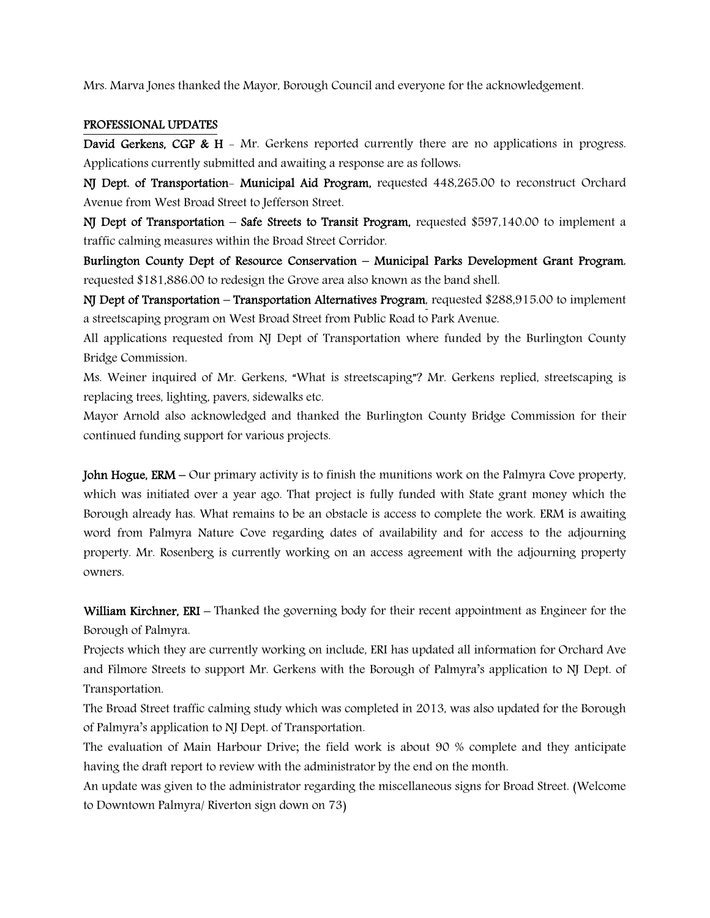Mrs. Marva Jones thanked the Mayor, Borough Council and everyone for the acknowledgement.

#### PROFESSIONAL UPDATES

David Gerkens, CGP & H - Mr. Gerkens reported currently there are no applications in progress. Applications currently submitted and awaiting a response are as follows:

NJ Dept. of Transportation- Municipal Aid Program, requested 448,265.00 to reconstruct Orchard Avenue from West Broad Street to Jefferson Street.

NJ Dept of Transportation – Safe Streets to Transit Program, requested \$597,140.00 to implement a traffic calming measures within the Broad Street Corridor.

Burlington County Dept of Resource Conservation – Municipal Parks Development Grant Program, requested \$181,886.00 to redesign the Grove area also known as the band shell.

NJ Dept of Transportation – Transportation Alternatives Program, requested \$288,915.00 to implement a streetscaping program on West Broad Street from Public Road to Park Avenue.

All applications requested from NJ Dept of Transportation where funded by the Burlington County Bridge Commission.

Ms. Weiner inquired of Mr. Gerkens, "What is streetscaping"? Mr. Gerkens replied, streetscaping is replacing trees, lighting, pavers, sidewalks etc.

Mayor Arnold also acknowledged and thanked the Burlington County Bridge Commission for their continued funding support for various projects.

John Hogue, ERM – Our primary activity is to finish the munitions work on the Palmyra Cove property, which was initiated over a year ago. That project is fully funded with State grant money which the Borough already has. What remains to be an obstacle is access to complete the work. ERM is awaiting word from Palmyra Nature Cove regarding dates of availability and for access to the adjourning property. Mr. Rosenberg is currently working on an access agreement with the adjourning property owners.

William Kirchner, ERI – Thanked the governing body for their recent appointment as Engineer for the Borough of Palmyra.

Projects which they are currently working on include, ERI has updated all information for Orchard Ave and Filmore Streets to support Mr. Gerkens with the Borough of Palmyra's application to NJ Dept. of Transportation.

The Broad Street traffic calming study which was completed in 2013, was also updated for the Borough of Palmyra's application to NJ Dept. of Transportation.

The evaluation of Main Harbour Drive; the field work is about 90 % complete and they anticipate having the draft report to review with the administrator by the end on the month.

An update was given to the administrator regarding the miscellaneous signs for Broad Street. (Welcome to Downtown Palmyra/ Riverton sign down on 73)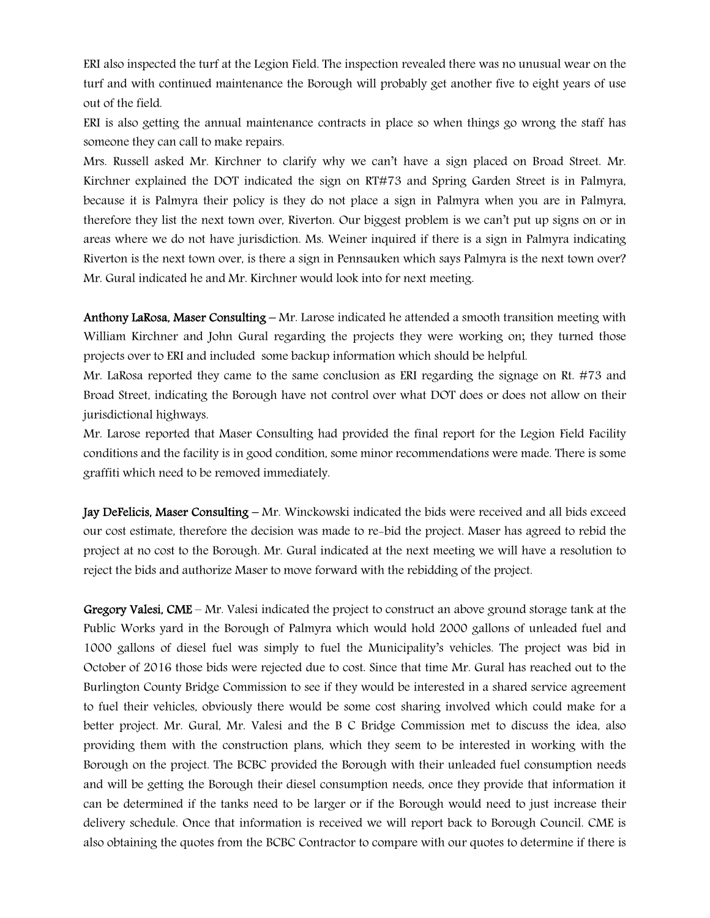ERI also inspected the turf at the Legion Field. The inspection revealed there was no unusual wear on the turf and with continued maintenance the Borough will probably get another five to eight years of use out of the field.

ERI is also getting the annual maintenance contracts in place so when things go wrong the staff has someone they can call to make repairs.

Mrs. Russell asked Mr. Kirchner to clarify why we can't have a sign placed on Broad Street. Mr. Kirchner explained the DOT indicated the sign on RT#73 and Spring Garden Street is in Palmyra, because it is Palmyra their policy is they do not place a sign in Palmyra when you are in Palmyra, therefore they list the next town over, Riverton. Our biggest problem is we can't put up signs on or in areas where we do not have jurisdiction. Ms. Weiner inquired if there is a sign in Palmyra indicating Riverton is the next town over, is there a sign in Pennsauken which says Palmyra is the next town over? Mr. Gural indicated he and Mr. Kirchner would look into for next meeting.

Anthony LaRosa, Maser Consulting – Mr. Larose indicated he attended a smooth transition meeting with William Kirchner and John Gural regarding the projects they were working on; they turned those projects over to ERI and included some backup information which should be helpful.

Mr. LaRosa reported they came to the same conclusion as ERI regarding the signage on Rt. #73 and Broad Street, indicating the Borough have not control over what DOT does or does not allow on their jurisdictional highways.

Mr. Larose reported that Maser Consulting had provided the final report for the Legion Field Facility conditions and the facility is in good condition, some minor recommendations were made. There is some graffiti which need to be removed immediately.

Jay DeFelicis, Maser Consulting – Mr. Winckowski indicated the bids were received and all bids exceed our cost estimate, therefore the decision was made to re-bid the project. Maser has agreed to rebid the project at no cost to the Borough. Mr. Gural indicated at the next meeting we will have a resolution to reject the bids and authorize Maser to move forward with the rebidding of the project.

Gregory Valesi, CME – Mr. Valesi indicated the project to construct an above ground storage tank at the Public Works yard in the Borough of Palmyra which would hold 2000 gallons of unleaded fuel and 1000 gallons of diesel fuel was simply to fuel the Municipality's vehicles. The project was bid in October of 2016 those bids were rejected due to cost. Since that time Mr. Gural has reached out to the Burlington County Bridge Commission to see if they would be interested in a shared service agreement to fuel their vehicles, obviously there would be some cost sharing involved which could make for a better project. Mr. Gural, Mr. Valesi and the B C Bridge Commission met to discuss the idea, also providing them with the construction plans, which they seem to be interested in working with the Borough on the project. The BCBC provided the Borough with their unleaded fuel consumption needs and will be getting the Borough their diesel consumption needs, once they provide that information it can be determined if the tanks need to be larger or if the Borough would need to just increase their delivery schedule. Once that information is received we will report back to Borough Council. CME is also obtaining the quotes from the BCBC Contractor to compare with our quotes to determine if there is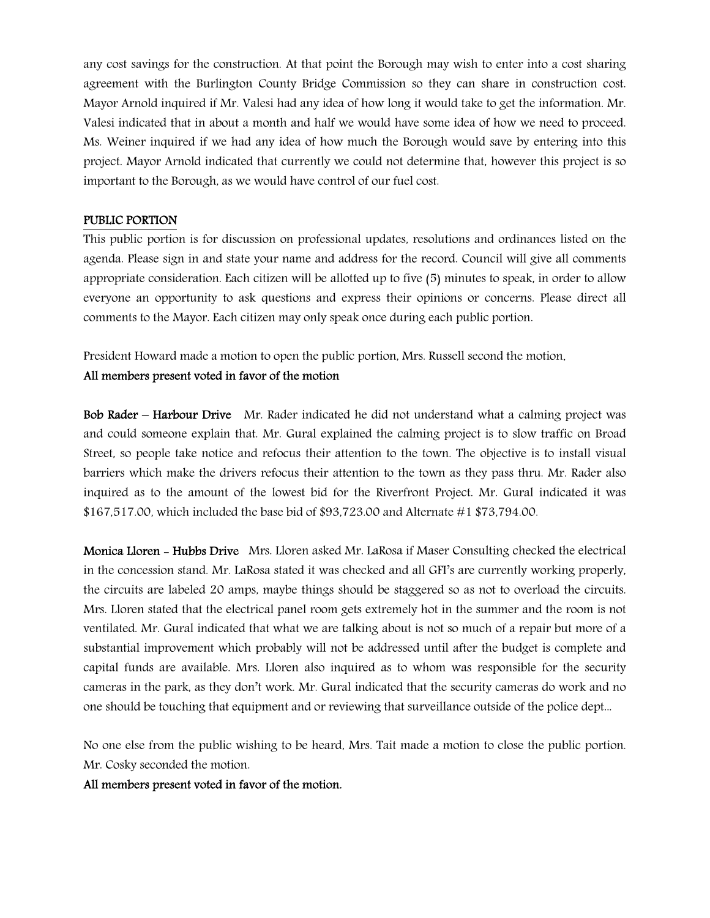any cost savings for the construction. At that point the Borough may wish to enter into a cost sharing agreement with the Burlington County Bridge Commission so they can share in construction cost. Mayor Arnold inquired if Mr. Valesi had any idea of how long it would take to get the information. Mr. Valesi indicated that in about a month and half we would have some idea of how we need to proceed. Ms. Weiner inquired if we had any idea of how much the Borough would save by entering into this project. Mayor Arnold indicated that currently we could not determine that, however this project is so important to the Borough, as we would have control of our fuel cost.

## PUBLIC PORTION

This public portion is for discussion on professional updates, resolutions and ordinances listed on the agenda. Please sign in and state your name and address for the record. Council will give all comments appropriate consideration. Each citizen will be allotted up to five (5) minutes to speak, in order to allow everyone an opportunity to ask questions and express their opinions or concerns. Please direct all comments to the Mayor. Each citizen may only speak once during each public portion.

President Howard made a motion to open the public portion, Mrs. Russell second the motion.

## All members present voted in favor of the motion

Bob Rader – Harbour Drive Mr. Rader indicated he did not understand what a calming project was and could someone explain that. Mr. Gural explained the calming project is to slow traffic on Broad Street, so people take notice and refocus their attention to the town. The objective is to install visual barriers which make the drivers refocus their attention to the town as they pass thru. Mr. Rader also inquired as to the amount of the lowest bid for the Riverfront Project. Mr. Gural indicated it was \$167,517.00, which included the base bid of \$93,723.00 and Alternate #1 \$73,794.00.

Monica Lloren - Hubbs Drive Mrs. Lloren asked Mr. LaRosa if Maser Consulting checked the electrical in the concession stand. Mr. LaRosa stated it was checked and all GFI's are currently working properly, the circuits are labeled 20 amps, maybe things should be staggered so as not to overload the circuits. Mrs. Lloren stated that the electrical panel room gets extremely hot in the summer and the room is not ventilated. Mr. Gural indicated that what we are talking about is not so much of a repair but more of a substantial improvement which probably will not be addressed until after the budget is complete and capital funds are available. Mrs. Lloren also inquired as to whom was responsible for the security cameras in the park, as they don't work. Mr. Gural indicated that the security cameras do work and no one should be touching that equipment and or reviewing that surveillance outside of the police dept...

No one else from the public wishing to be heard, Mrs. Tait made a motion to close the public portion. Mr. Cosky seconded the motion.

All members present voted in favor of the motion.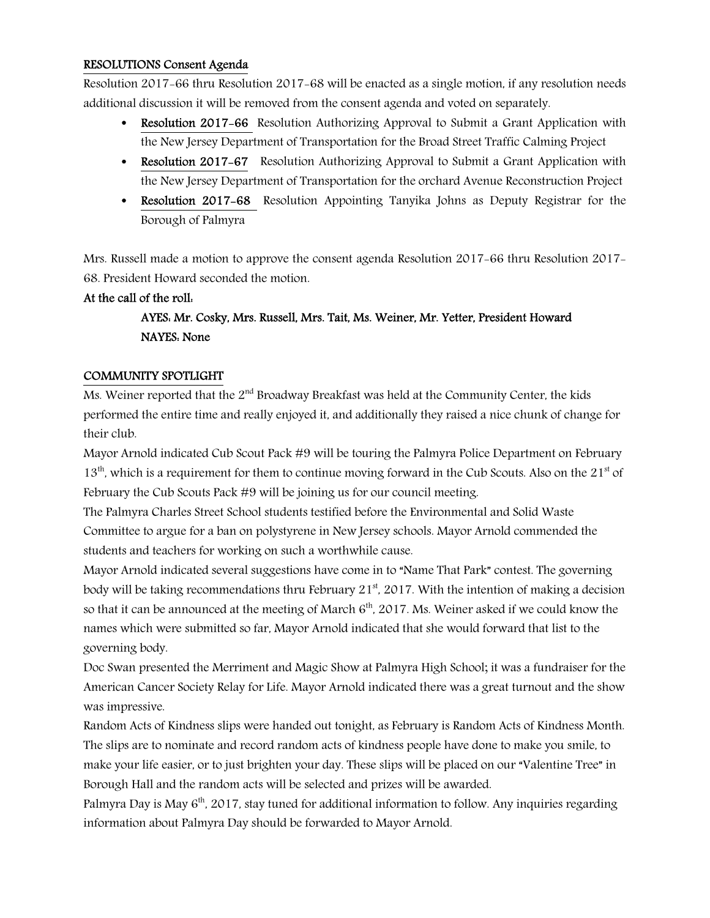## RESOLUTIONS Consent Agenda

Resolution 2017-66 thru Resolution 2017-68 will be enacted as a single motion, if any resolution needs additional discussion it will be removed from the consent agenda and voted on separately.

- Resolution 2017-66 Resolution Authorizing Approval to Submit a Grant Application with the New Jersey Department of Transportation for the Broad Street Traffic Calming Project
- Resolution 2017–67 Resolution Authorizing Approval to Submit a Grant Application with the New Jersey Department of Transportation for the orchard Avenue Reconstruction Project
- Resolution 2017-68 Resolution Appointing Tanyika Johns as Deputy Registrar for the Borough of Palmyra

Mrs. Russell made a motion to approve the consent agenda Resolution 2017-66 thru Resolution 2017- 68. President Howard seconded the motion.

## At the call of the roll:

# AYES: Mr. Cosky, Mrs. Russell, Mrs. Tait, Ms. Weiner, Mr. Yetter, President Howard NAYES: None

## COMMUNITY SPOTLIGHT

Ms. Weiner reported that the  $2<sup>nd</sup>$  Broadway Breakfast was held at the Community Center, the kids performed the entire time and really enjoyed it, and additionally they raised a nice chunk of change for their club.

Mayor Arnold indicated Cub Scout Pack #9 will be touring the Palmyra Police Department on February  $13<sup>th</sup>$ , which is a requirement for them to continue moving forward in the Cub Scouts. Also on the 21 $<sup>st</sup>$  of</sup> February the Cub Scouts Pack #9 will be joining us for our council meeting.

The Palmyra Charles Street School students testified before the Environmental and Solid Waste Committee to argue for a ban on polystyrene in New Jersey schools. Mayor Arnold commended the students and teachers for working on such a worthwhile cause.

Mayor Arnold indicated several suggestions have come in to "Name That Park" contest. The governing body will be taking recommendations thru February 21 $^{\text{st}}$ , 2017. With the intention of making a decision so that it can be announced at the meeting of March 6<sup>th</sup>, 2017. Ms. Weiner asked if we could know the names which were submitted so far, Mayor Arnold indicated that she would forward that list to the governing body.

Doc Swan presented the Merriment and Magic Show at Palmyra High School; it was a fundraiser for the American Cancer Society Relay for Life. Mayor Arnold indicated there was a great turnout and the show was impressive.

Random Acts of Kindness slips were handed out tonight, as February is Random Acts of Kindness Month. The slips are to nominate and record random acts of kindness people have done to make you smile, to make your life easier, or to just brighten your day. These slips will be placed on our "Valentine Tree" in Borough Hall and the random acts will be selected and prizes will be awarded.

Palmyra Day is May  $6<sup>th</sup>$ , 2017, stay tuned for additional information to follow. Any inquiries regarding information about Palmyra Day should be forwarded to Mayor Arnold.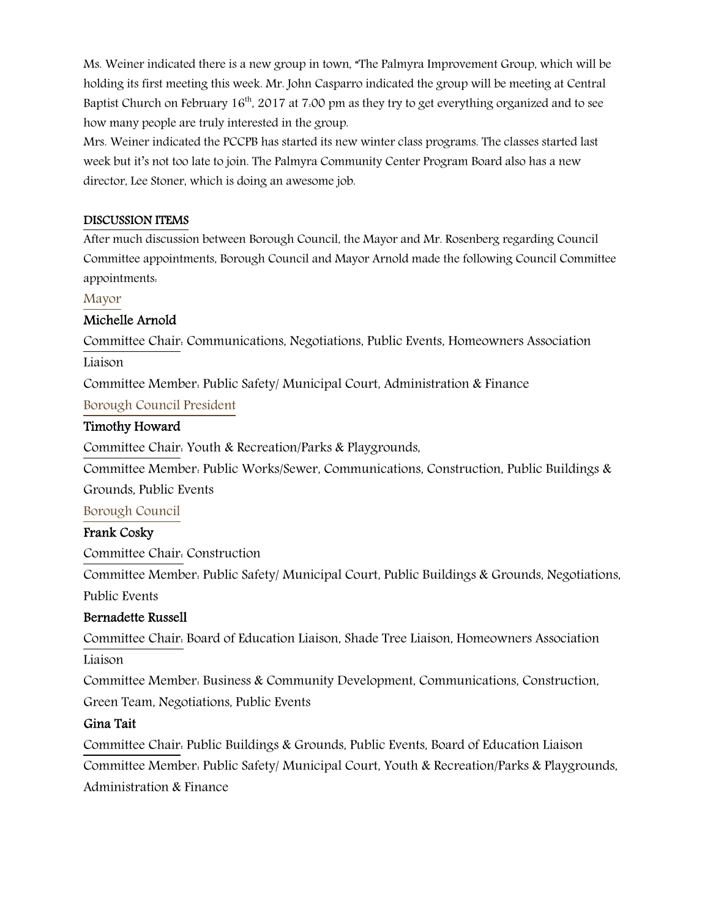Ms. Weiner indicated there is a new group in town, "The Palmyra Improvement Group, which will be holding its first meeting this week. Mr. John Casparro indicated the group will be meeting at Central Baptist Church on February  $16<sup>th</sup>$ , 2017 at 7:00 pm as they try to get everything organized and to see how many people are truly interested in the group.

Mrs. Weiner indicated the PCCPB has started its new winter class programs. The classes started last week but it's not too late to join. The Palmyra Community Center Program Board also has a new director, Lee Stoner, which is doing an awesome job.

# DISCUSSION ITEMS

After much discussion between Borough Council, the Mayor and Mr. Rosenberg regarding Council Committee appointments, Borough Council and Mayor Arnold made the following Council Committee appointments:

## Mayor

# Michelle Arnold

Committee Chair: Communications, Negotiations, Public Events, Homeowners Association Liaison

Committee Member: Public Safety/ Municipal Court, Administration & Finance

Borough Council President

# Timothy Howard

Committee Chair: Youth & Recreation/Parks & Playgrounds,

Committee Member: Public Works/Sewer, Communications, Construction, Public Buildings &

Grounds, Public Events

Borough Council

# Frank Cosky

Committee Chair: Construction

Committee Member: Public Safety/ Municipal Court, Public Buildings & Grounds, Negotiations,

Public Events

# Bernadette Russell

Committee Chair: Board of Education Liaison, Shade Tree Liaison, Homeowners Association Liaison

Committee Member: Business & Community Development, Communications, Construction, Green Team, Negotiations, Public Events

# Gina Tait

Committee Chair: Public Buildings & Grounds, Public Events, Board of Education Liaison Committee Member: Public Safety/ Municipal Court, Youth & Recreation/Parks & Playgrounds, Administration & Finance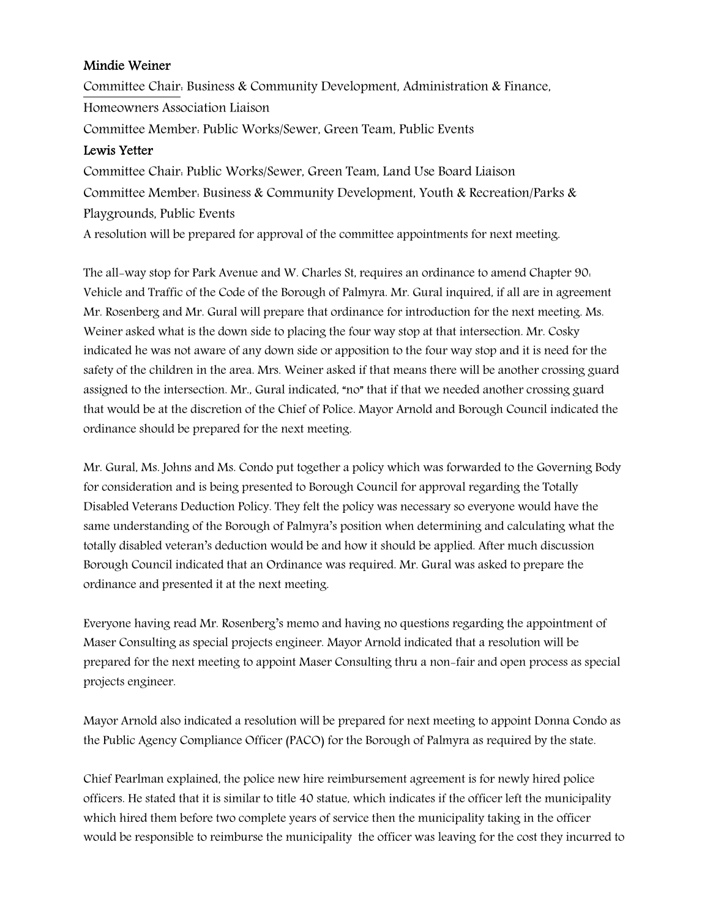## Mindie Weiner

Committee Chair: Business & Community Development, Administration & Finance, Homeowners Association Liaison Committee Member: Public Works/Sewer, Green Team, Public Events

## Lewis Yetter

Committee Chair: Public Works/Sewer, Green Team, Land Use Board Liaison Committee Member: Business & Community Development, Youth & Recreation/Parks & Playgrounds, Public Events A resolution will be prepared for approval of the committee appointments for next meeting.

The all-way stop for Park Avenue and W. Charles St, requires an ordinance to amend Chapter 90: Vehicle and Traffic of the Code of the Borough of Palmyra. Mr. Gural inquired, if all are in agreement Mr. Rosenberg and Mr. Gural will prepare that ordinance for introduction for the next meeting. Ms. Weiner asked what is the down side to placing the four way stop at that intersection. Mr. Cosky indicated he was not aware of any down side or apposition to the four way stop and it is need for the safety of the children in the area. Mrs. Weiner asked if that means there will be another crossing guard assigned to the intersection. Mr., Gural indicated, "no" that if that we needed another crossing guard that would be at the discretion of the Chief of Police. Mayor Arnold and Borough Council indicated the ordinance should be prepared for the next meeting.

Mr. Gural, Ms. Johns and Ms. Condo put together a policy which was forwarded to the Governing Body for consideration and is being presented to Borough Council for approval regarding the Totally Disabled Veterans Deduction Policy. They felt the policy was necessary so everyone would have the same understanding of the Borough of Palmyra's position when determining and calculating what the totally disabled veteran's deduction would be and how it should be applied. After much discussion Borough Council indicated that an Ordinance was required. Mr. Gural was asked to prepare the ordinance and presented it at the next meeting.

Everyone having read Mr. Rosenberg's memo and having no questions regarding the appointment of Maser Consulting as special projects engineer. Mayor Arnold indicated that a resolution will be prepared for the next meeting to appoint Maser Consulting thru a non-fair and open process as special projects engineer.

Mayor Arnold also indicated a resolution will be prepared for next meeting to appoint Donna Condo as the Public Agency Compliance Officer (PACO) for the Borough of Palmyra as required by the state.

Chief Pearlman explained, the police new hire reimbursement agreement is for newly hired police officers. He stated that it is similar to title 40 statue, which indicates if the officer left the municipality which hired them before two complete years of service then the municipality taking in the officer would be responsible to reimburse the municipality the officer was leaving for the cost they incurred to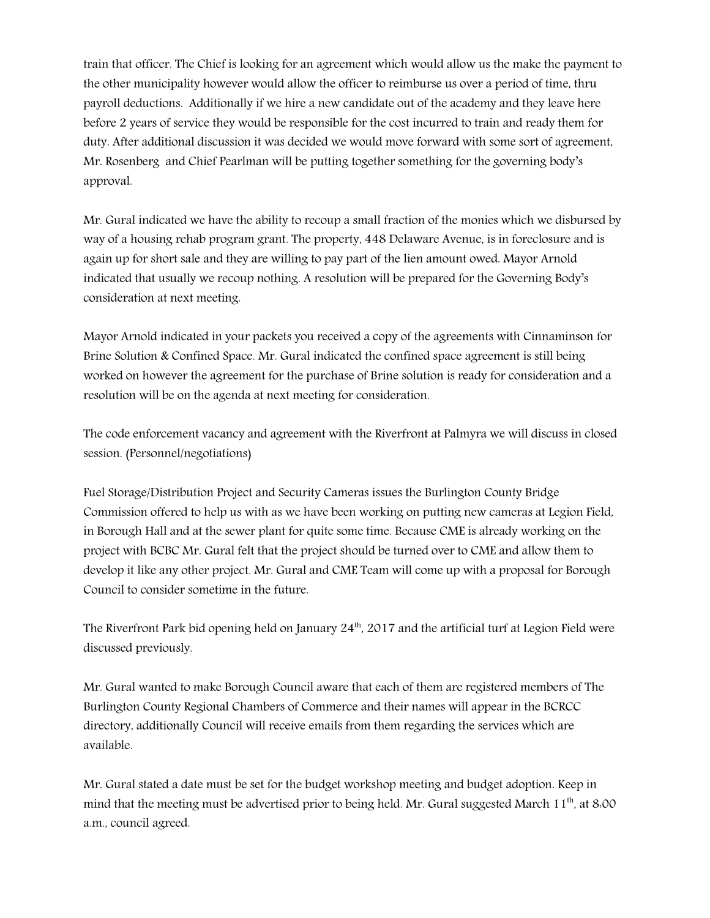train that officer. The Chief is looking for an agreement which would allow us the make the payment to the other municipality however would allow the officer to reimburse us over a period of time, thru payroll deductions. Additionally if we hire a new candidate out of the academy and they leave here before 2 years of service they would be responsible for the cost incurred to train and ready them for duty. After additional discussion it was decided we would move forward with some sort of agreement, Mr. Rosenberg and Chief Pearlman will be putting together something for the governing body's approval.

Mr. Gural indicated we have the ability to recoup a small fraction of the monies which we disbursed by way of a housing rehab program grant. The property, 448 Delaware Avenue, is in foreclosure and is again up for short sale and they are willing to pay part of the lien amount owed. Mayor Arnold indicated that usually we recoup nothing. A resolution will be prepared for the Governing Body's consideration at next meeting.

Mayor Arnold indicated in your packets you received a copy of the agreements with Cinnaminson for Brine Solution & Confined Space. Mr. Gural indicated the confined space agreement is still being worked on however the agreement for the purchase of Brine solution is ready for consideration and a resolution will be on the agenda at next meeting for consideration.

The code enforcement vacancy and agreement with the Riverfront at Palmyra we will discuss in closed session. (Personnel/negotiations)

Fuel Storage/Distribution Project and Security Cameras issues the Burlington County Bridge Commission offered to help us with as we have been working on putting new cameras at Legion Field, in Borough Hall and at the sewer plant for quite some time. Because CME is already working on the project with BCBC Mr. Gural felt that the project should be turned over to CME and allow them to develop it like any other project. Mr. Gural and CME Team will come up with a proposal for Borough Council to consider sometime in the future.

The Riverfront Park bid opening held on January  $24<sup>th</sup>$ , 2017 and the artificial turf at Legion Field were discussed previously.

Mr. Gural wanted to make Borough Council aware that each of them are registered members of The Burlington County Regional Chambers of Commerce and their names will appear in the BCRCC directory, additionally Council will receive emails from them regarding the services which are available.

Mr. Gural stated a date must be set for the budget workshop meeting and budget adoption. Keep in mind that the meeting must be advertised prior to being held. Mr. Gural suggested March 11<sup>th</sup>, at 8:00 a.m., council agreed.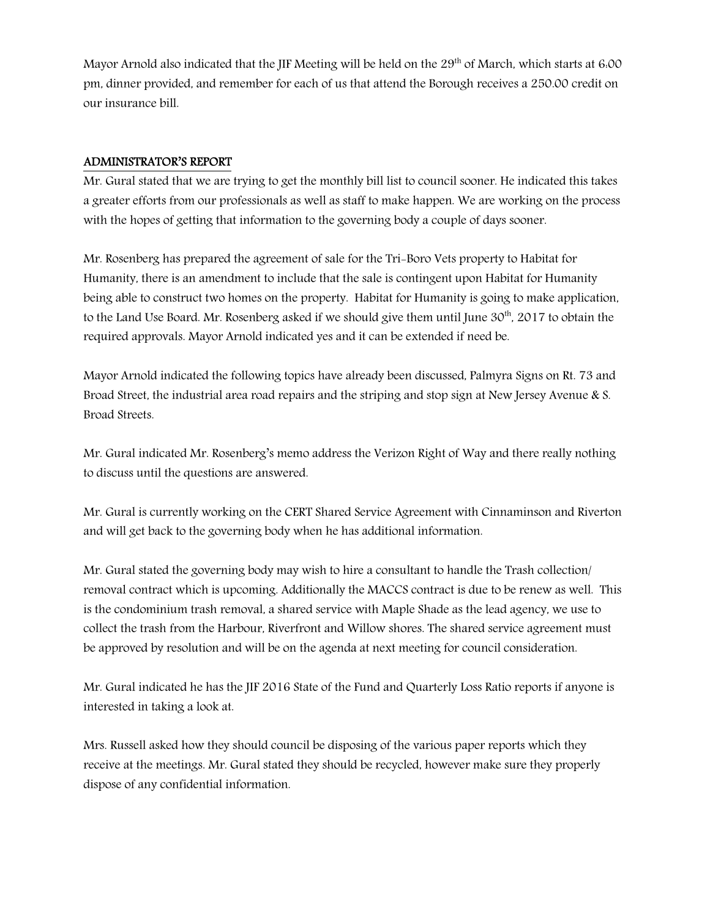Mayor Arnold also indicated that the JIF Meeting will be held on the  $29<sup>th</sup>$  of March, which starts at 6:00 pm, dinner provided, and remember for each of us that attend the Borough receives a 250.00 credit on our insurance bill.

## ADMINISTRATOR'S REPORT

Mr. Gural stated that we are trying to get the monthly bill list to council sooner. He indicated this takes a greater efforts from our professionals as well as staff to make happen. We are working on the process with the hopes of getting that information to the governing body a couple of days sooner.

Mr. Rosenberg has prepared the agreement of sale for the Tri-Boro Vets property to Habitat for Humanity, there is an amendment to include that the sale is contingent upon Habitat for Humanity being able to construct two homes on the property. Habitat for Humanity is going to make application, to the Land Use Board. Mr. Rosenberg asked if we should give them until June 30<sup>th</sup>, 2017 to obtain the required approvals. Mayor Arnold indicated yes and it can be extended if need be.

Mayor Arnold indicated the following topics have already been discussed, Palmyra Signs on Rt. 73 and Broad Street, the industrial area road repairs and the striping and stop sign at New Jersey Avenue & S. Broad Streets.

Mr. Gural indicated Mr. Rosenberg's memo address the Verizon Right of Way and there really nothing to discuss until the questions are answered.

Mr. Gural is currently working on the CERT Shared Service Agreement with Cinnaminson and Riverton and will get back to the governing body when he has additional information.

Mr. Gural stated the governing body may wish to hire a consultant to handle the Trash collection/ removal contract which is upcoming. Additionally the MACCS contract is due to be renew as well. This is the condominium trash removal, a shared service with Maple Shade as the lead agency, we use to collect the trash from the Harbour, Riverfront and Willow shores. The shared service agreement must be approved by resolution and will be on the agenda at next meeting for council consideration.

Mr. Gural indicated he has the JIF 2016 State of the Fund and Quarterly Loss Ratio reports if anyone is interested in taking a look at.

Mrs. Russell asked how they should council be disposing of the various paper reports which they receive at the meetings. Mr. Gural stated they should be recycled, however make sure they properly dispose of any confidential information.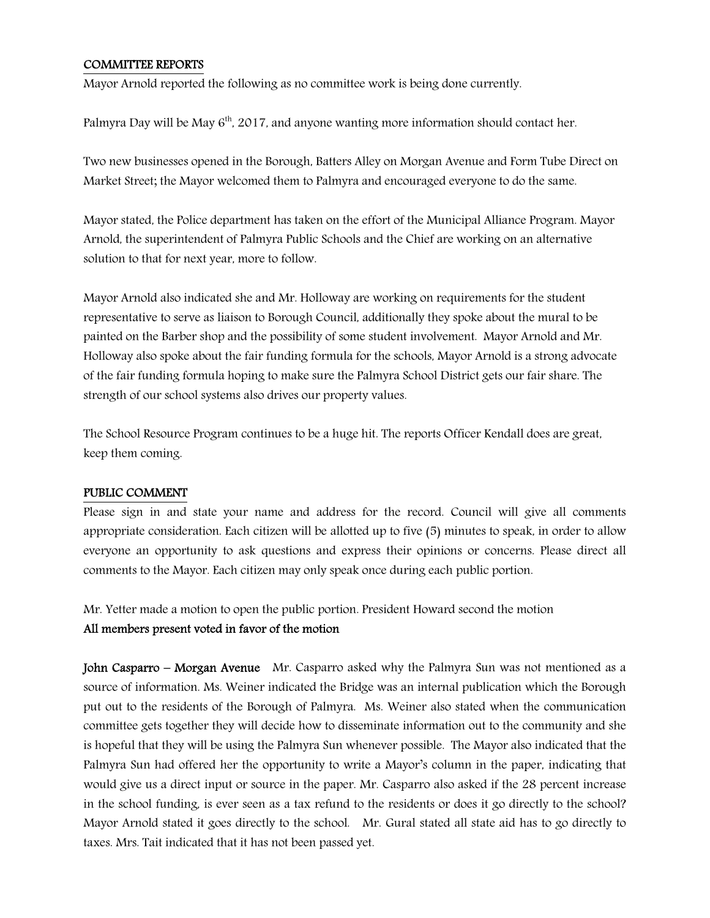#### COMMITTEE REPORTS

Mayor Arnold reported the following as no committee work is being done currently.

Palmyra Day will be May  $6<sup>th</sup>$ , 2017, and anyone wanting more information should contact her.

Two new businesses opened in the Borough, Batters Alley on Morgan Avenue and Form Tube Direct on Market Street; the Mayor welcomed them to Palmyra and encouraged everyone to do the same.

Mayor stated, the Police department has taken on the effort of the Municipal Alliance Program. Mayor Arnold, the superintendent of Palmyra Public Schools and the Chief are working on an alternative solution to that for next year, more to follow.

Mayor Arnold also indicated she and Mr. Holloway are working on requirements for the student representative to serve as liaison to Borough Council, additionally they spoke about the mural to be painted on the Barber shop and the possibility of some student involvement. Mayor Arnold and Mr. Holloway also spoke about the fair funding formula for the schools, Mayor Arnold is a strong advocate of the fair funding formula hoping to make sure the Palmyra School District gets our fair share. The strength of our school systems also drives our property values.

The School Resource Program continues to be a huge hit. The reports Officer Kendall does are great, keep them coming.

#### PUBLIC COMMENT

Please sign in and state your name and address for the record. Council will give all comments appropriate consideration. Each citizen will be allotted up to five (5) minutes to speak, in order to allow everyone an opportunity to ask questions and express their opinions or concerns. Please direct all comments to the Mayor. Each citizen may only speak once during each public portion.

Mr. Yetter made a motion to open the public portion. President Howard second the motion All members present voted in favor of the motion

John Casparro – Morgan Avenue Mr. Casparro asked why the Palmyra Sun was not mentioned as a source of information. Ms. Weiner indicated the Bridge was an internal publication which the Borough put out to the residents of the Borough of Palmyra. Ms. Weiner also stated when the communication committee gets together they will decide how to disseminate information out to the community and she is hopeful that they will be using the Palmyra Sun whenever possible. The Mayor also indicated that the Palmyra Sun had offered her the opportunity to write a Mayor's column in the paper, indicating that would give us a direct input or source in the paper. Mr. Casparro also asked if the 28 percent increase in the school funding, is ever seen as a tax refund to the residents or does it go directly to the school? Mayor Arnold stated it goes directly to the school. Mr. Gural stated all state aid has to go directly to taxes. Mrs. Tait indicated that it has not been passed yet.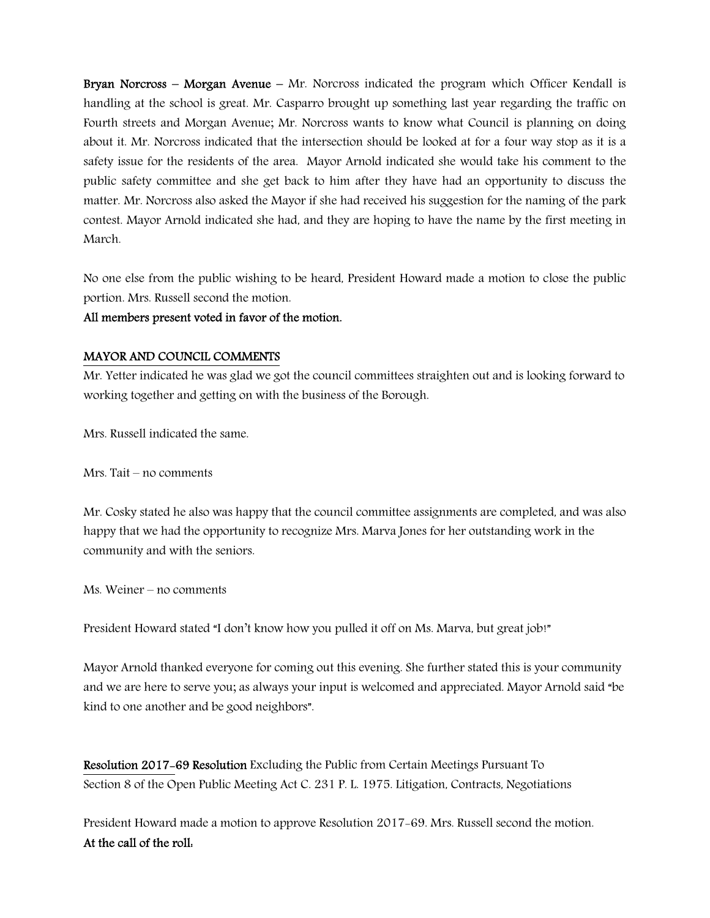**Bryan Norcross – Morgan Avenue –** Mr. Norcross indicated the program which Officer Kendall is handling at the school is great. Mr. Casparro brought up something last year regarding the traffic on Fourth streets and Morgan Avenue; Mr. Norcross wants to know what Council is planning on doing about it. Mr. Norcross indicated that the intersection should be looked at for a four way stop as it is a safety issue for the residents of the area. Mayor Arnold indicated she would take his comment to the public safety committee and she get back to him after they have had an opportunity to discuss the matter. Mr. Norcross also asked the Mayor if she had received his suggestion for the naming of the park contest. Mayor Arnold indicated she had, and they are hoping to have the name by the first meeting in March.

No one else from the public wishing to be heard, President Howard made a motion to close the public portion. Mrs. Russell second the motion.

All members present voted in favor of the motion.

#### MAYOR AND COUNCIL COMMENTS

Mr. Yetter indicated he was glad we got the council committees straighten out and is looking forward to working together and getting on with the business of the Borough.

Mrs. Russell indicated the same.

Mrs. Tait – no comments

Mr. Cosky stated he also was happy that the council committee assignments are completed, and was also happy that we had the opportunity to recognize Mrs. Marva Jones for her outstanding work in the community and with the seniors.

Ms. Weiner – no comments

President Howard stated "I don't know how you pulled it off on Ms. Marva, but great job!"

Mayor Arnold thanked everyone for coming out this evening. She further stated this is your community and we are here to serve you; as always your input is welcomed and appreciated. Mayor Arnold said "be kind to one another and be good neighbors".

Resolution 2017-69 Resolution Excluding the Public from Certain Meetings Pursuant To Section 8 of the Open Public Meeting Act C. 231 P. L. 1975. Litigation, Contracts, Negotiations

President Howard made a motion to approve Resolution 2017-69. Mrs. Russell second the motion. At the call of the roll: